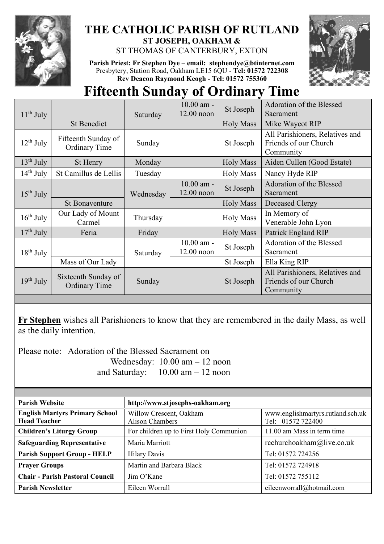

## **THE CATHOLIC PARISH OF RUTLAND ST JOSEPH, OAKHAM &**

ST THOMAS OF CANTERBURY, EXTON

**Parish Priest: Fr Stephen Dye** – **[email: stephendye@btinternet.com](mailto:email:%20%20stephendye@btinternet.com)** Presbytery, Station Road, Oakham LE15 6QU - **Tel: 01572 722308 Rev Deacon Raymond Keogh - Tel: 01572 755360**



## **Fifteenth Sunday of Ordinary Time**

| $11th$ July    |                                             | Saturday  | 10.00 am -                   | St Joseph        | Adoration of the Blessed                                              |
|----------------|---------------------------------------------|-----------|------------------------------|------------------|-----------------------------------------------------------------------|
|                |                                             |           | 12.00 noon                   |                  | Sacrament                                                             |
|                | <b>St Benedict</b>                          |           |                              | <b>Holy Mass</b> | Mike Waycot RIP                                                       |
| $12^{th}$ July | Fifteenth Sunday of<br><b>Ordinary Time</b> | Sunday    |                              | St Joseph        | All Parishioners, Relatives and<br>Friends of our Church<br>Community |
| $13th$ July    | St Henry                                    | Monday    |                              | <b>Holy Mass</b> | Aiden Cullen (Good Estate)                                            |
| $14th$ July    | St Camillus de Lellis                       | Tuesday   |                              | <b>Holy Mass</b> | Nancy Hyde RIP                                                        |
| $15^{th}$ July |                                             | Wednesday | $10.00$ am -<br>$12.00$ noon | St Joseph        | Adoration of the Blessed<br>Sacrament                                 |
|                | <b>St Bonaventure</b>                       |           |                              | <b>Holy Mass</b> | Deceased Clergy                                                       |
| $16th$ July    | Our Lady of Mount<br>Carmel                 | Thursday  |                              | <b>Holy Mass</b> | In Memory of<br>Venerable John Lyon                                   |
| $17th$ July    | Feria                                       | Friday    |                              | <b>Holy Mass</b> | Patrick England RIP                                                   |
| $18^{th}$ July |                                             | Saturday  | 10.00 am -<br>$12.00$ noon   | St Joseph        | Adoration of the Blessed<br>Sacrament                                 |
|                | Mass of Our Lady                            |           |                              | St Joseph        | Ella King RIP                                                         |
| $19th$ July    | Sixteenth Sunday of<br><b>Ordinary Time</b> | Sunday    |                              | St Joseph        | All Parishioners, Relatives and<br>Friends of our Church<br>Community |

**Fr Stephen** wishes all Parishioners to know that they are remembered in the daily Mass, as well as the daily intention.

Please note: Adoration of the Blessed Sacrament on

 Wednesday: 10.00 am – 12 noon and Saturday: 10.00 am – 12 noon

| <b>Parish Website</b>                                        | http://www.stjosephs-oakham.org            |                                                        |  |  |
|--------------------------------------------------------------|--------------------------------------------|--------------------------------------------------------|--|--|
| <b>English Martyrs Primary School</b><br><b>Head Teacher</b> | Willow Crescent, Oakham<br>Alison Chambers | www.englishmartyrs.rutland.sch.uk<br>Tel: 01572 722400 |  |  |
| <b>Children's Liturgy Group</b>                              | For children up to First Holy Communion    | 11.00 am Mass in term time                             |  |  |
| <b>Safeguarding Representative</b>                           | Maria Marriott                             | rcchurchoakham@live.co.uk                              |  |  |
| <b>Parish Support Group - HELP</b>                           | <b>Hilary Davis</b>                        | Tel: 01572 724256                                      |  |  |
| <b>Prayer Groups</b>                                         | Martin and Barbara Black                   | Tel: 01572 724918                                      |  |  |
| <b>Chair - Parish Pastoral Council</b>                       | Jim O'Kane                                 | Tel: 01572 755112                                      |  |  |
| <b>Parish Newsletter</b>                                     | Eileen Worrall                             | eileenworrall@hotmail.com                              |  |  |